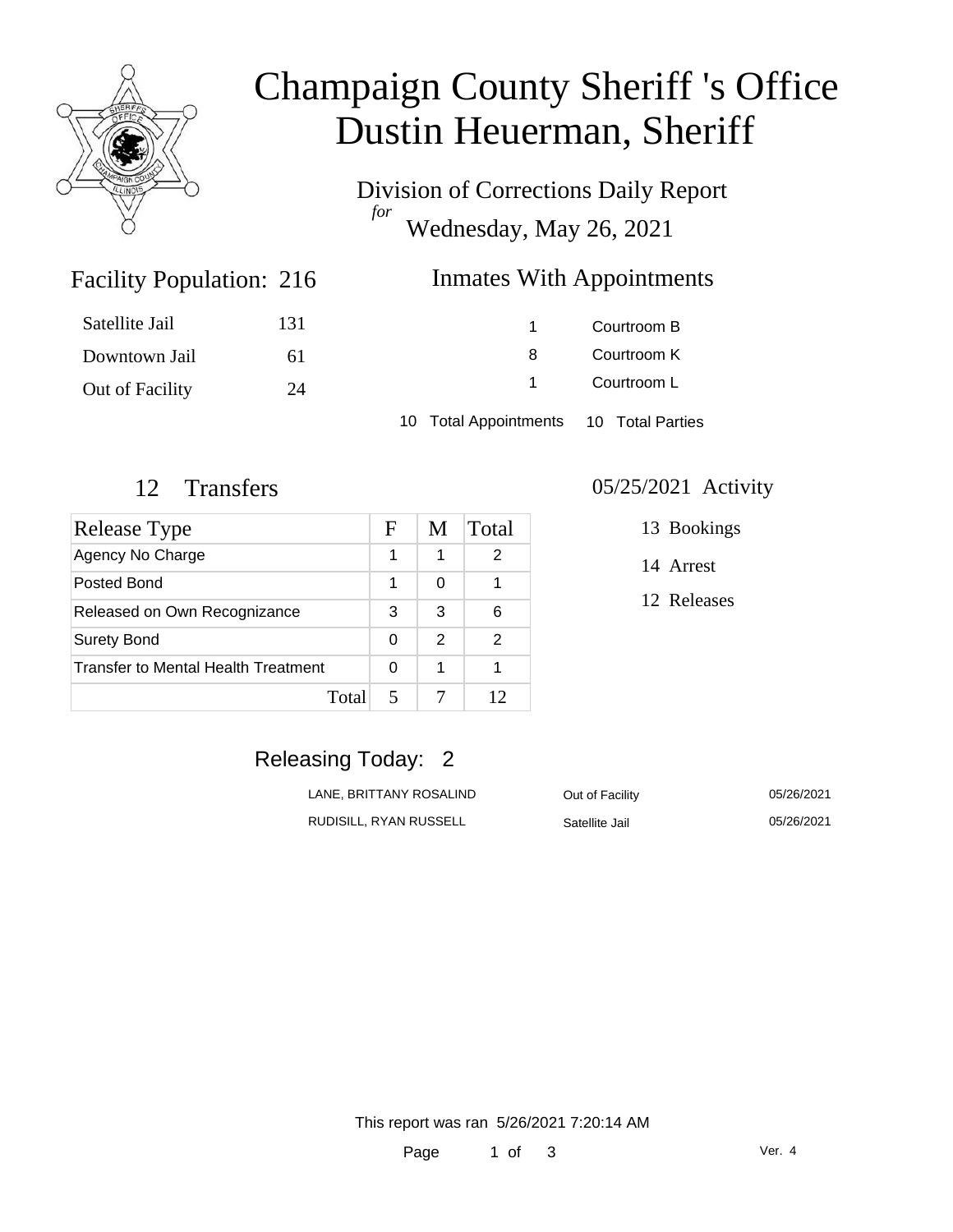

# Champaign County Sheriff 's Office Dustin Heuerman, Sheriff

Division of Corrections Daily Report *for* Wednesday, May 26, 2021

### Inmates With Appointments

| Satellite Jail  | 131 |                                        | Courtroom B |  |
|-----------------|-----|----------------------------------------|-------------|--|
| Downtown Jail   | 6 I | 8                                      | Courtroom K |  |
| Out of Facility | 24  |                                        | Courtroom L |  |
|                 |     | 10 Total Appointments 10 Total Parties |             |  |

Facility Population: 216

| Release Type                        | F | M | Total |
|-------------------------------------|---|---|-------|
| Agency No Charge                    | 1 | 1 | 2     |
| Posted Bond                         | 1 | 0 |       |
| Released on Own Recognizance        |   | 3 | 6     |
| <b>Surety Bond</b>                  |   | 2 | 2     |
| Transfer to Mental Health Treatment |   | 1 |       |
| Total                               |   |   | 12    |

#### 12 Transfers 05/25/2021 Activity

13 Bookings

14 Arrest

12 Releases

### Releasing Today: 2

| LANE. BRITTANY ROSALIND | Out of Facility | 05/26/2021 |
|-------------------------|-----------------|------------|
| RUDISILL. RYAN RUSSELL  | Satellite Jail  | 05/26/2021 |

This report was ran 5/26/2021 7:20:14 AM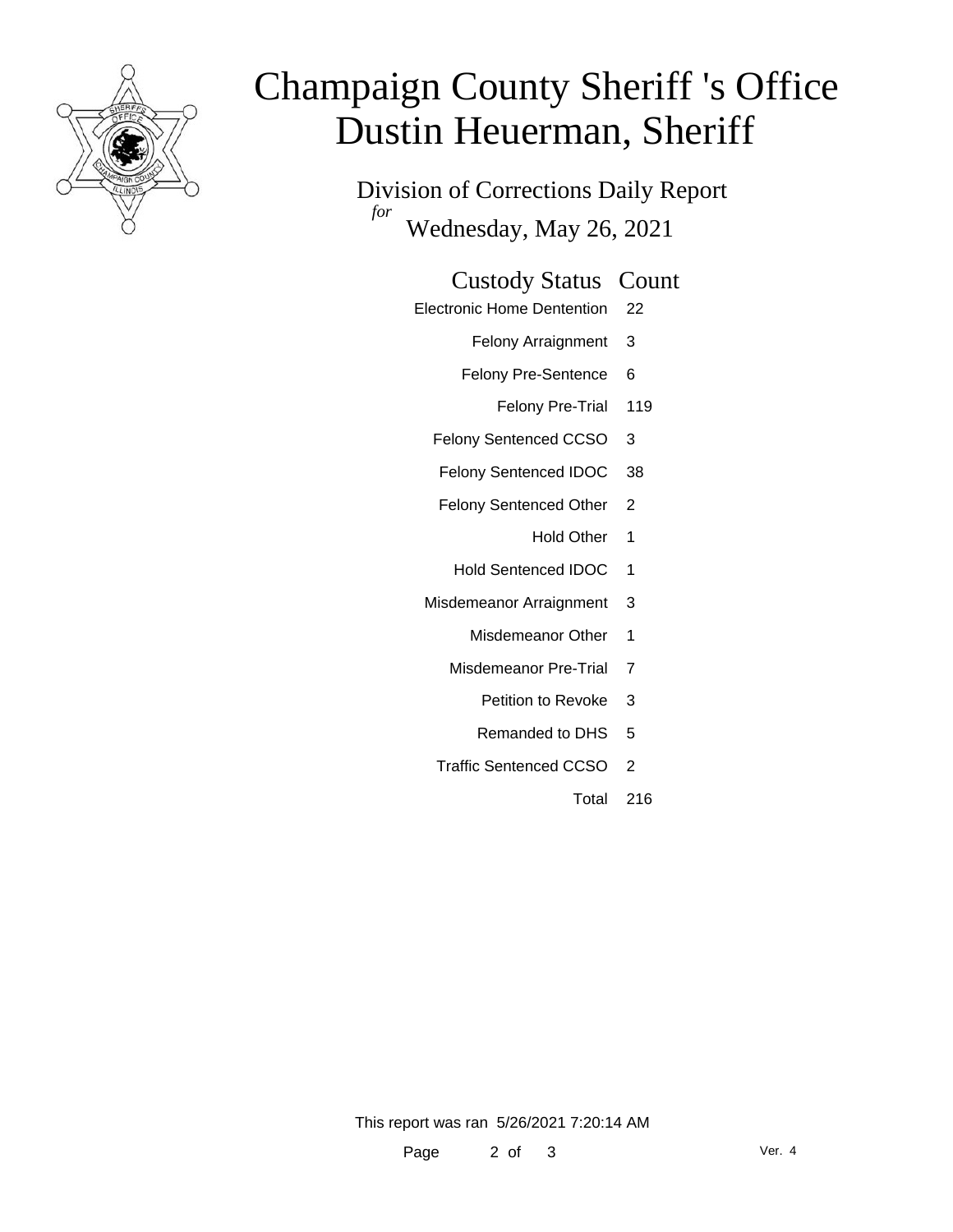

# Champaign County Sheriff 's Office Dustin Heuerman, Sheriff

Division of Corrections Daily Report *for* Wednesday, May 26, 2021

#### Custody Status Count

- Electronic Home Dentention 22
	- Felony Arraignment 3
	- Felony Pre-Sentence 6
		- Felony Pre-Trial 119
	- Felony Sentenced CCSO 3
	- Felony Sentenced IDOC 38
	- Felony Sentenced Other 2
		- Hold Other 1
		- Hold Sentenced IDOC 1
	- Misdemeanor Arraignment 3
		- Misdemeanor Other 1
		- Misdemeanor Pre-Trial 7
			- Petition to Revoke 3
			- Remanded to DHS 5
		- Traffic Sentenced CCSO 2
			- Total 216

This report was ran 5/26/2021 7:20:14 AM